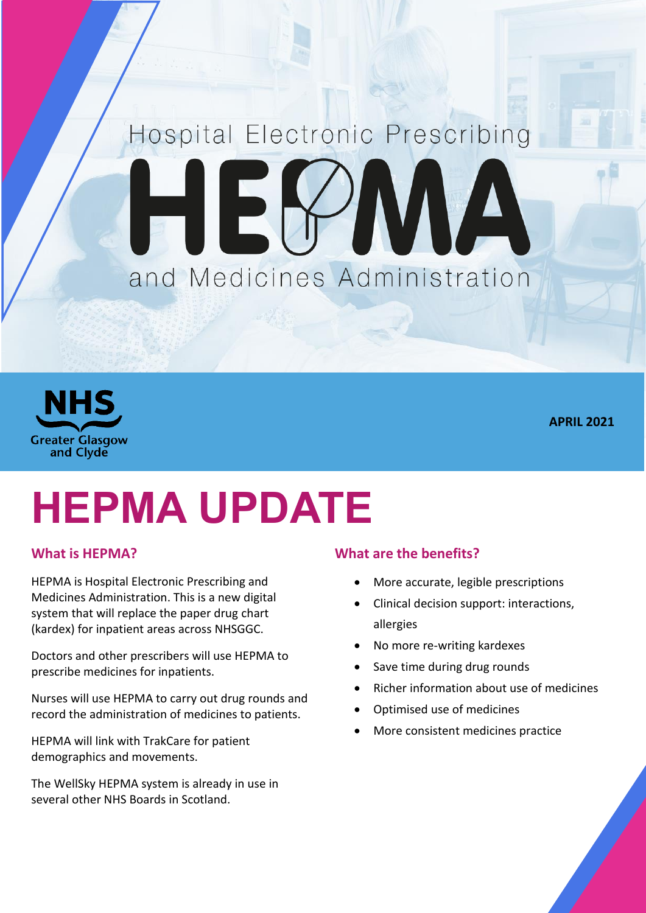## Hospital Electronic Prescribing IEK AVAN and Medicines Administration



**APRIL 2021**

# **HEPMA UPDATE**

### **What is HEPMA?**

HEPMA is Hospital Electronic Prescribing and Medicines Administration. This is a new digital system that will replace the paper drug chart (kardex) for inpatient areas across NHSGGC.

Doctors and other prescribers will use HEPMA to prescribe medicines for inpatients.

Nurses will use HEPMA to carry out drug rounds and record the administration of medicines to patients.

HEPMA will link with TrakCare for patient demographics and movements.

The WellSky HEPMA system is already in use in several other NHS Boards in Scotland.

#### **What are the benefits?**

- More accurate, legible prescriptions
- Clinical decision support: interactions, allergies
- No more re-writing kardexes
- Save time during drug rounds
- Richer information about use of medicines
- Optimised use of medicines
- More consistent medicines practice